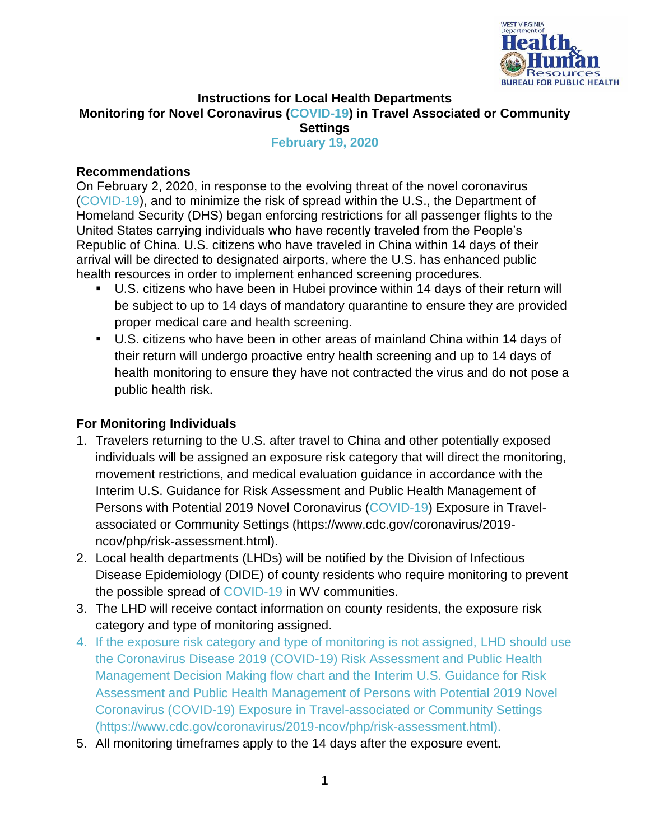

## **Instructions for Local Health Departments Monitoring for Novel Coronavirus (COVID-19) in Travel Associated or Community Settings February 19, 2020**

## **Recommendations**

On February 2, 2020, in response to the evolving threat of the novel coronavirus (COVID-19), and to minimize the risk of spread within the U.S., the Department of Homeland Security (DHS) began enforcing restrictions for all passenger flights to the United States carrying individuals who have recently traveled from the People's Republic of China. U.S. citizens who have traveled in China within 14 days of their arrival will be directed to designated airports, where the U.S. has enhanced public health resources in order to implement enhanced screening procedures.

- U.S. citizens who have been in Hubei province within 14 days of their return will be subject to up to 14 days of mandatory quarantine to ensure they are provided proper medical care and health screening.
- U.S. citizens who have been in other areas of mainland China within 14 days of their return will undergo proactive entry health screening and up to 14 days of health monitoring to ensure they have not contracted the virus and do not pose a public health risk.

## **For Monitoring Individuals**

- 1. Travelers returning to the U.S. after travel to China and other potentially exposed individuals will be assigned an exposure risk category that will direct the monitoring, movement restrictions, and medical evaluation guidance in accordance with the Interim U.S. Guidance for Risk Assessment and Public Health Management of Persons with Potential 2019 Novel Coronavirus (COVID-19) Exposure in Travelassociated or Community Settings (https://www.cdc.gov/coronavirus/2019 ncov/php/risk-assessment.html).
- 2. Local health departments (LHDs) will be notified by the Division of Infectious Disease Epidemiology (DIDE) of county residents who require monitoring to prevent the possible spread of COVID-19 in WV communities.
- 3. The LHD will receive contact information on county residents, the exposure risk category and type of monitoring assigned.
- 4. If the exposure risk category and type of monitoring is not assigned, LHD should use the Coronavirus Disease 2019 (COVID-19) Risk Assessment and Public Health Management Decision Making flow chart and the Interim U.S. Guidance for Risk Assessment and Public Health Management of Persons with Potential 2019 Novel Coronavirus (COVID-19) Exposure in Travel-associated or Community Settings (https://www.cdc.gov/coronavirus/2019-ncov/php/risk-assessment.html).
- 5. All monitoring timeframes apply to the 14 days after the exposure event.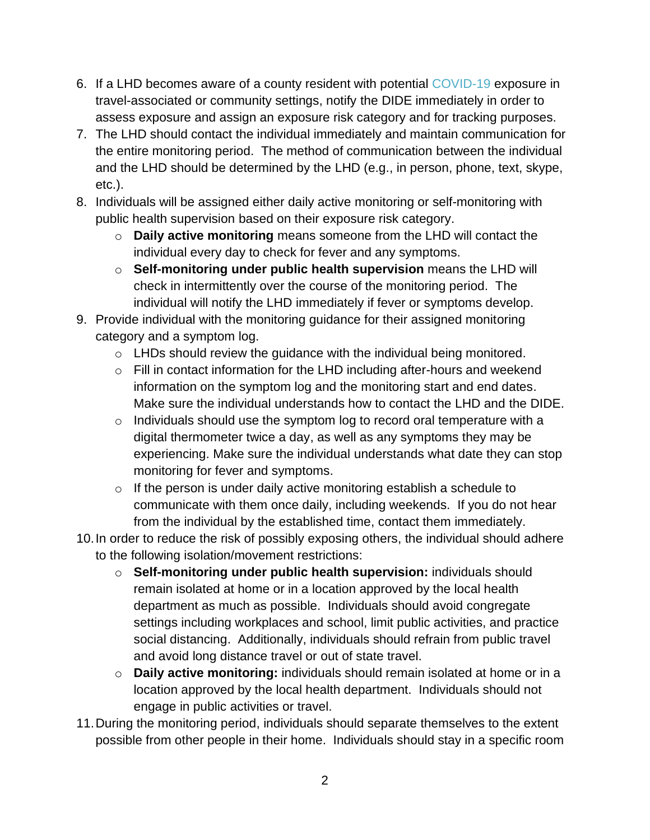- 6. If a LHD becomes aware of a county resident with potential COVID-19 exposure in travel-associated or community settings, notify the DIDE immediately in order to assess exposure and assign an exposure risk category and for tracking purposes.
- 7. The LHD should contact the individual immediately and maintain communication for the entire monitoring period. The method of communication between the individual and the LHD should be determined by the LHD (e.g., in person, phone, text, skype, etc.).
- 8. Individuals will be assigned either daily active monitoring or self-monitoring with public health supervision based on their exposure risk category.
	- o **Daily active monitoring** means someone from the LHD will contact the individual every day to check for fever and any symptoms.
	- o **Self-monitoring under public health supervision** means the LHD will check in intermittently over the course of the monitoring period. The individual will notify the LHD immediately if fever or symptoms develop.
- 9. Provide individual with the monitoring guidance for their assigned monitoring category and a symptom log.
	- o LHDs should review the guidance with the individual being monitored.
	- o Fill in contact information for the LHD including after-hours and weekend information on the symptom log and the monitoring start and end dates. Make sure the individual understands how to contact the LHD and the DIDE.
	- $\circ$  Individuals should use the symptom log to record oral temperature with a digital thermometer twice a day, as well as any symptoms they may be experiencing. Make sure the individual understands what date they can stop monitoring for fever and symptoms.
	- $\circ$  If the person is under daily active monitoring establish a schedule to communicate with them once daily, including weekends. If you do not hear from the individual by the established time, contact them immediately.
- 10.In order to reduce the risk of possibly exposing others, the individual should adhere to the following isolation/movement restrictions:
	- o **Self-monitoring under public health supervision:** individuals should remain isolated at home or in a location approved by the local health department as much as possible. Individuals should avoid congregate settings including workplaces and school, limit public activities, and practice social distancing. Additionally, individuals should refrain from public travel and avoid long distance travel or out of state travel.
	- o **Daily active monitoring:** individuals should remain isolated at home or in a location approved by the local health department. Individuals should not engage in public activities or travel.
- 11.During the monitoring period, individuals should separate themselves to the extent possible from other people in their home. Individuals should stay in a specific room